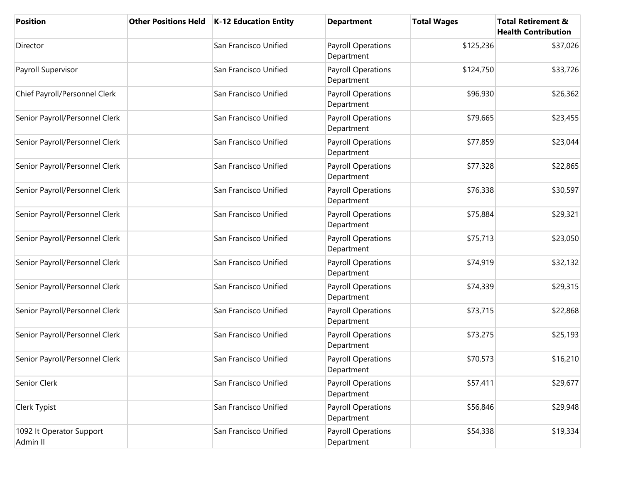| <b>Position</b>                      | <b>Other Positions Held</b> | K-12 Education Entity | <b>Department</b>                       | <b>Total Wages</b> | <b>Total Retirement &amp;</b><br><b>Health Contribution</b> |
|--------------------------------------|-----------------------------|-----------------------|-----------------------------------------|--------------------|-------------------------------------------------------------|
| Director                             |                             | San Francisco Unified | Payroll Operations<br>Department        | \$125,236          | \$37,026                                                    |
| Payroll Supervisor                   |                             | San Francisco Unified | <b>Payroll Operations</b><br>Department | \$124,750          | \$33,726                                                    |
| Chief Payroll/Personnel Clerk        |                             | San Francisco Unified | <b>Payroll Operations</b><br>Department | \$96,930           | \$26,362                                                    |
| Senior Payroll/Personnel Clerk       |                             | San Francisco Unified | Payroll Operations<br>Department        | \$79,665           | \$23,455                                                    |
| Senior Payroll/Personnel Clerk       |                             | San Francisco Unified | Payroll Operations<br>Department        | \$77,859           | \$23,044                                                    |
| Senior Payroll/Personnel Clerk       |                             | San Francisco Unified | Payroll Operations<br>Department        | \$77,328           | \$22,865                                                    |
| Senior Payroll/Personnel Clerk       |                             | San Francisco Unified | <b>Payroll Operations</b><br>Department | \$76,338           | \$30,597                                                    |
| Senior Payroll/Personnel Clerk       |                             | San Francisco Unified | Payroll Operations<br>Department        | \$75,884           | \$29,321                                                    |
| Senior Payroll/Personnel Clerk       |                             | San Francisco Unified | Payroll Operations<br>Department        | \$75,713           | \$23,050                                                    |
| Senior Payroll/Personnel Clerk       |                             | San Francisco Unified | Payroll Operations<br>Department        | \$74,919           | \$32,132                                                    |
| Senior Payroll/Personnel Clerk       |                             | San Francisco Unified | <b>Payroll Operations</b><br>Department | \$74,339           | \$29,315                                                    |
| Senior Payroll/Personnel Clerk       |                             | San Francisco Unified | Payroll Operations<br>Department        | \$73,715           | \$22,868                                                    |
| Senior Payroll/Personnel Clerk       |                             | San Francisco Unified | <b>Payroll Operations</b><br>Department | \$73,275           | \$25,193                                                    |
| Senior Payroll/Personnel Clerk       |                             | San Francisco Unified | <b>Payroll Operations</b><br>Department | \$70,573           | \$16,210                                                    |
| Senior Clerk                         |                             | San Francisco Unified | <b>Payroll Operations</b><br>Department | \$57,411           | \$29,677                                                    |
| Clerk Typist                         |                             | San Francisco Unified | Payroll Operations<br>Department        | \$56,846           | \$29,948                                                    |
| 1092 It Operator Support<br>Admin II |                             | San Francisco Unified | Payroll Operations<br>Department        | \$54,338           | \$19,334                                                    |